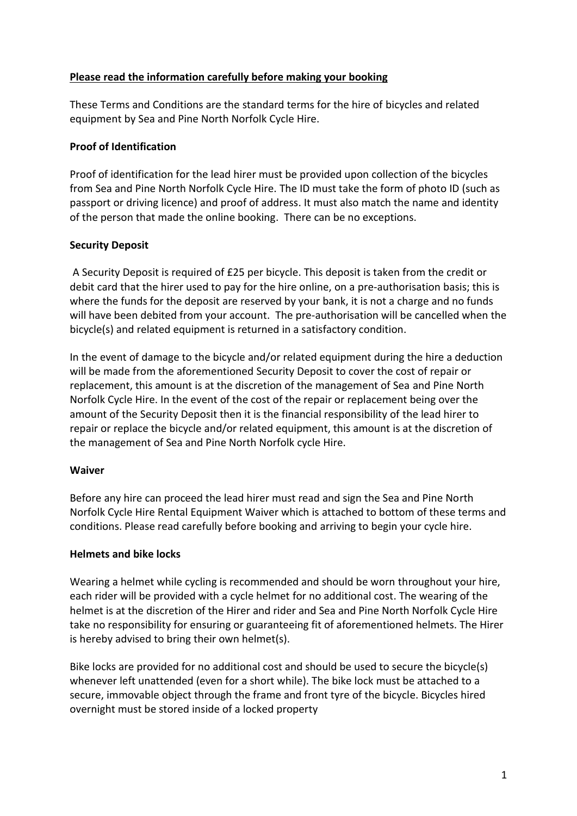## **Please read the information carefully before making your booking**

These Terms and Conditions are the standard terms for the hire of bicycles and related equipment by Sea and Pine North Norfolk Cycle Hire.

### **Proof of Identification**

Proof of identification for the lead hirer must be provided upon collection of the bicycles from Sea and Pine North Norfolk Cycle Hire. The ID must take the form of photo ID (such as passport or driving licence) and proof of address. It must also match the name and identity of the person that made the online booking. There can be no exceptions.

#### **Security Deposit**

debit card that the hirer used to pay for the hire online, on a pre-authorisation basis; this is where the funds for the deposit are reserved by your bank, it is not a charge and no funds will have been debited from your account. The pre-authorisation will be cancelled when the bicycle(s) and related equipment is returned in a satisfactory condition. A Security Deposit is required of £25 per bicycle. This deposit is taken from the credit or

In the event of damage to the bicycle and/or related equipment during the hire a deduction will be made from the aforementioned Security Deposit to cover the cost of repair or replacement, this amount is at the discretion of the management of Sea and Pine North Norfolk Cycle Hire. In the event of the cost of the repair or replacement being over the amount of the Security Deposit then it is the financial responsibility of the lead hirer to repair or replace the bicycle and/or related equipment, this amount is at the discretion of the management of Sea and Pine North Norfolk cycle Hire.

#### **Waiver**

Before any hire can proceed the lead hirer must read and sign the Sea and Pine North Norfolk Cycle Hire Rental Equipment Waiver which is attached to bottom of these terms and conditions. Please read carefully before booking and arriving to begin your cycle hire.

#### **Helmets and bike locks**

Wearing a helmet while cycling is recommended and should be worn throughout your hire, each rider will be provided with a cycle helmet for no additional cost. The wearing of the helmet is at the discretion of the Hirer and rider and Sea and Pine North Norfolk Cycle Hire take no responsibility for ensuring or guaranteeing fit of aforementioned helmets. The Hirer is hereby advised to bring their own helmet(s).

Bike locks are provided for no additional cost and should be used to secure the bicycle(s) whenever left unattended (even for a short while). The bike lock must be attached to a secure, immovable object through the frame and front tyre of the bicycle. Bicycles hired overnight must be stored inside of a locked property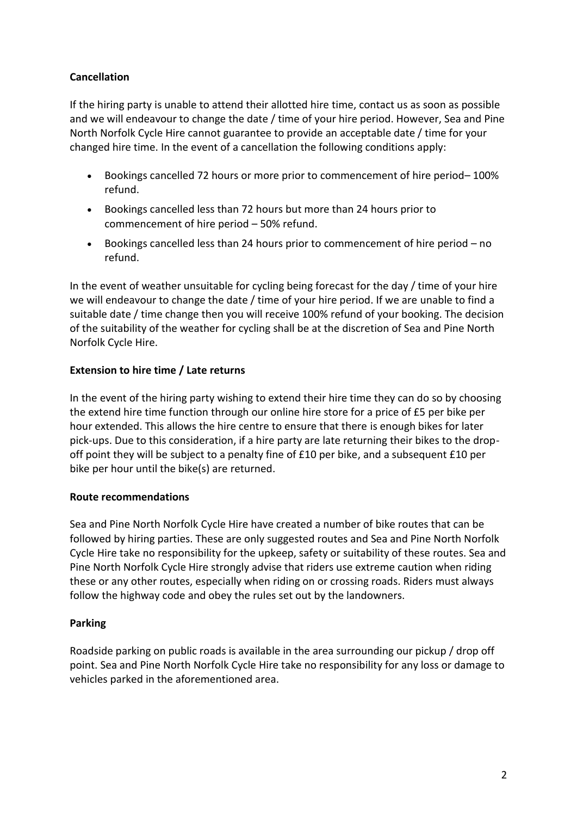# **Cancellation**

If the hiring party is unable to attend their allotted hire time, contact us as soon as possible and we will endeavour to change the date / time of your hire period. However, Sea and Pine North Norfolk Cycle Hire cannot guarantee to provide an acceptable date / time for your changed hire time. In the event of a cancellation the following conditions apply:

- Bookings cancelled 72 hours or more prior to commencement of hire period– 100% refund.
- Bookings cancelled less than 72 hours but more than 24 hours prior to commencement of hire period – 50% refund.
- Bookings cancelled less than 24 hours prior to commencement of hire period no refund.

In the event of weather unsuitable for cycling being forecast for the day / time of your hire we will endeavour to change the date / time of your hire period. If we are unable to find a suitable date / time change then you will receive 100% refund of your booking. The decision of the suitability of the weather for cycling shall be at the discretion of Sea and Pine North Norfolk Cycle Hire.

# **Extension to hire time / Late returns**

In the event of the hiring party wishing to extend their hire time they can do so by choosing the extend hire time function through our online hire store for a price of £5 per bike per hour extended. This allows the hire centre to ensure that there is enough bikes for later pick-ups. Due to this consideration, if a hire party are late returning their bikes to the dropoff point they will be subject to a penalty fine of £10 per bike, and a subsequent £10 per bike per hour until the bike(s) are returned.

## **Route recommendations**

Sea and Pine North Norfolk Cycle Hire have created a number of bike routes that can be followed by hiring parties. These are only suggested routes and Sea and Pine North Norfolk Cycle Hire take no responsibility for the upkeep, safety or suitability of these routes. Sea and Pine North Norfolk Cycle Hire strongly advise that riders use extreme caution when riding these or any other routes, especially when riding on or crossing roads. Riders must always follow the highway code and obey the rules set out by the landowners.

## **Parking**

Roadside parking on public roads is available in the area surrounding our pickup / drop off point. Sea and Pine North Norfolk Cycle Hire take no responsibility for any loss or damage to vehicles parked in the aforementioned area.